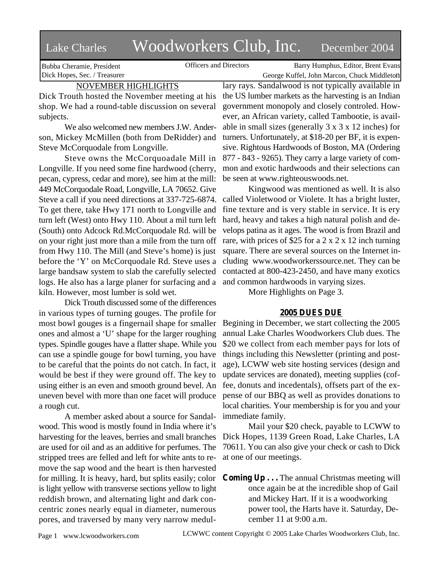# Lake Charles Woodworkers Club, Inc. December 2004

Bubba Cheramie, President Dick Hopes, Sec. / Treasurer

Officers and Directors Barry Humphus, Editor, Brent Evans George Kuffel, John Marcon, Chuck Middleton

NOVEMBER HIGHLIGHTS

Dick Trouth hosted the November meeting at his shop. We had a round-table discussion on several subjects.

We also welcomed new members J.W. Anderson, Mickey McMillen (both from DeRidder) and Steve McCorquodale from Longville.

Steve owns the McCorquoadale Mill in Longville. If you need some fine hardwood (cherry, pecan, cypress, cedar and more), see him at the mill: 449 McCorquodale Road, Longville, LA 70652. Give Steve a call if you need directions at 337-725-6874. To get there, take Hwy 171 north to Longville and turn left (West) onto Hwy 110. About a mil turn left (South) onto Adcock Rd.McCorquodale Rd. will be on your right just more than a mile from the turn off from Hwy 110. The Mill (and Steve's home) is just before the 'Y' on McCorquodale Rd. Steve uses a large bandsaw system to slab the carefully selected logs. He also has a large planer for surfacing and a kiln. However, most lumber is sold wet.

Dick Trouth discussed some of the differences in various types of turning gouges. The profile for most bowl gouges is a fingernail shape for smaller ones and almost a 'U' shape for the larger roughing types. Spindle gouges have a flatter shape. While you can use a spindle gouge for bowl turning, you have to be careful that the points do not catch. In fact, it would be best if they were ground off. The key to using either is an even and smooth ground bevel. An uneven bevel with more than one facet will produce a rough cut.

A member asked about a source for Sandalwood. This wood is mostly found in India where it's harvesting for the leaves, berries and small branches are used for oil and as an additive for perfumes. The stripped trees are felled and left for white ants to remove the sap wood and the heart is then harvested for milling. It is heavy, hard, but splits easily; color is light yellow with transverse sections yellow to light reddish brown, and alternating light and dark concentric zones nearly equal in diameter, numerous pores, and traversed by many very narrow medullary rays. Sandalwood is not typically available in the US lumber markets as the harvesting is an Indian government monopoly and closely controled. However, an African variety, called Tambootie, is available in small sizes (generally 3 x 3 x 12 inches) for turners. Unfortunately, at \$18-20 per BF, it is expensive. Rightous Hardwoods of Boston, MA (Ordering 877 - 843 - 9265). They carry a large variety of common and exotic hardwoods and their selections can be seen at www.righteouswoods.net.

Kingwood was mentioned as well. It is also called Violetwood or Violete. It has a bright luster, fine texture and is very stable in service. It is ery hard, heavy and takes a high natural polish and develops patina as it ages. The wood is from Brazil and rare, with prices of \$25 for a 2 x 2 x 12 inch turning square. There are several sources on the Internet including www.woodworkerssource.net. They can be contacted at 800-423-2450, and have many exotics and common hardwoods in varying sizes.

More Highlights on Page 3.

## **2005 DUES DUE**

Begining in December, we start collecting the 2005 annual Lake Charles Woodworkers Club dues. The \$20 we collect from each member pays for lots of things including this Newsletter (printing and postage), LCWW web site hosting services (design and update services are donated), meeting supplies (coffee, donuts and incedentals), offsets part of the expense of our BBQ as well as provides donations to local charities. Your membership is for you and your immediate family.

Mail your \$20 check, payable to LCWW to Dick Hopes, 1139 Green Road, Lake Charles, LA 70611. You can also give your check or cash to Dick at one of our meetings.

**Coming Up . . .** The annual Christmas meeting will once again be at the incredible shop of Gail and Mickey Hart. If it is a woodworking power tool, the Harts have it. Saturday, December 11 at 9:00 a.m.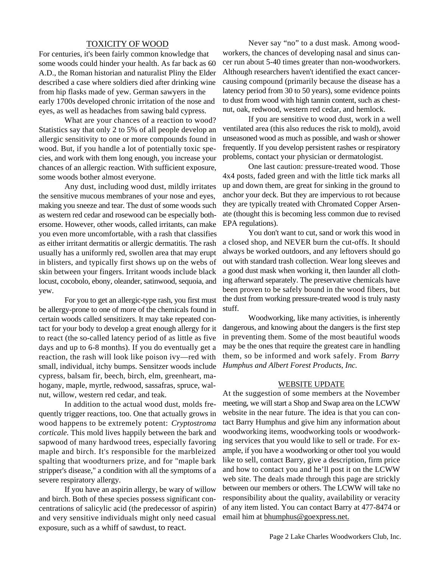## TOXICITY OF WOOD

For centuries, it's been fairly common knowledge that some woods could hinder your health. As far back as 60 A.D., the Roman historian and naturalist Pliny the Elder described a case where soldiers died after drinking wine from hip flasks made of yew. German sawyers in the early 1700s developed chronic irritation of the nose and eyes, as well as headaches from sawing bald cypress.

What are your chances of a reaction to wood? Statistics say that only 2 to 5% of all people develop an allergic sensitivity to one or more compounds found in wood. But, if you handle a lot of potentially toxic species, and work with them long enough, you increase your chances of an allergic reaction. With sufficient exposure, some woods bother almost everyone.

Any dust, including wood dust, mildly irritates the sensitive mucous membranes of your nose and eyes, making you sneeze and tear. The dust of some woods such as western red cedar and rosewood can be especially bothersome. However, other woods, called irritants, can make you even more uncomfortable, with a rash that classifies as either irritant dermatitis or allergic dermatitis. The rash usually has a uniformly red, swollen area that may erupt in blisters, and typically first shows up on the webs of skin between your fingers. Irritant woods include black locust, cocobolo, ebony, oleander, satinwood, sequoia, and yew.

For you to get an allergic-type rash, you first must be allergy-prone to one of more of the chemicals found in certain woods called sensitizers. It may take repeated contact for your body to develop a great enough allergy for it to react (the so-called latency period of as little as five days and up to 6-8 months). If you do eventually get a reaction, the rash will look like poison ivy—red with small, individual, itchy bumps. Sensitzer woods include cypress, balsam fir, beech, birch, elm, greenheart, mahogany, maple, myrtle, redwood, sassafras, spruce, walnut, willow, western red cedar, and teak.

In addition to the actual wood dust, molds frequently trigger reactions, too. One that actually grows in wood happens to be extremely potent: *Cryptostroma corticale*. This mold lives happily between the bark and sapwood of many hardwood trees, especially favoring maple and birch. It's responsible for the marbleized spalting that woodturners prize, and for "maple bark stripper's disease," a condition with all the symptoms of a severe respiratory allergy.

If you have an aspirin allergy, be wary of willow and birch. Both of these species possess significant concentrations of salicylic acid (the predecessor of aspirin) and very sensitive individuals might only need casual exposure, such as a whiff of sawdust, to react.

Never say "no" to a dust mask. Among woodworkers, the chances of developing nasal and sinus cancer run about 5-40 times greater than non-woodworkers. Although researchers haven't identified the exact cancercausing compound (primarily because the disease has a latency period from 30 to 50 years), some evidence points to dust from wood with high tannin content, such as chestnut, oak, redwood, western red cedar, and hemlock.

If you are sensitive to wood dust, work in a well ventilated area (this also reduces the risk to mold), avoid unseasoned wood as much as possible, and wash or shower frequently. If you develop persistent rashes or respiratory problems, contact your physician or dermatologist.

One last caution: pressure-treated wood. Those 4x4 posts, faded green and with the little tick marks all up and down them, are great for sinking in the ground to anchor your deck. But they are impervious to rot because they are typically treated with Chromated Copper Arsenate (thought this is becoming less common due to revised EPA regulations).

You don't want to cut, sand or work this wood in a closed shop, and NEVER burn the cut-offs. It should always be worked outdoors, and any leftovers should go out with standard trash collection. Wear long sleeves and a good dust mask when working it, then launder all clothing afterward separately. The preservative chemicals have been proven to be safely bound in the wood fibers, but the dust from working pressure-treated wood is truly nasty stuff.

Woodworking, like many activities, is inherently dangerous, and knowing about the dangers is the first step in preventing them. Some of the most beautiful woods may be the ones that require the greatest care in handling them, so be informed and work safely. From *Barry Humphus and Albert Forest Products, Inc.*

#### WEBSITE UPDATE

At the suggestion of some members at the November meeting, we will start a Shop and Swap area on the LCWW website in the near future. The idea is that you can contact Barry Humphus and give him any information about woodworking items, woodworking tools or woodworking services that you would like to sell or trade. For example, if you have a woodworking or other tool you would like to sell, contact Barry, give a description, firm price and how to contact you and he'll post it on the LCWW web site. The deals made through this page are strickly between our members or others. The LCWW will take no responsibility about the quality, availability or veracity of any item listed. You can contact Barry at 477-8474 or email him at bhumphus@goexpress.net.